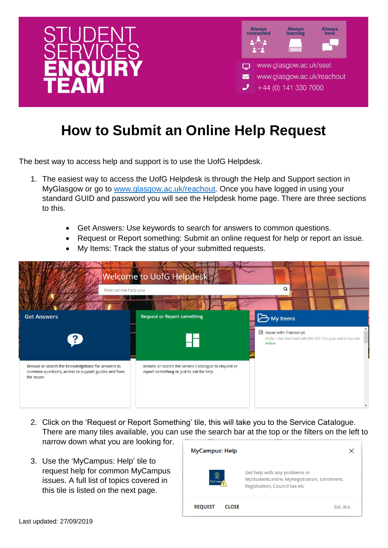

## **How to Submit an Online Help Request**

The best way to access help and support is to use the UofG Helpdesk.

- 1. The easiest way to access the UofG Helpdesk is through the Help and Support section in MyGlasgow or go to [www.glasgow.ac.uk/reachout.](http://www.glasgow.ac.uk/reachout) Once you have logged in using your standard GUID and password you will see the Helpdesk home page. There are three sections to this.
	- Get Answers: Use keywords to search for answers to common questions.
	- Request or Report something: Submit an online request for help or report an issue.
	- My Items: Track the status of your submitted requests.

| How can we help you                                                                                                     | Welcome to UofG Helpdesk                                                                         | $\Omega$                                                                                                     |
|-------------------------------------------------------------------------------------------------------------------------|--------------------------------------------------------------------------------------------------|--------------------------------------------------------------------------------------------------------------|
| <b>Get Answers</b><br>$\left  \right\rangle$                                                                            | <b>Request or Report something</b>                                                               | My Items<br>■ Issue with Transcript<br>Hello, I was involved with the SRC this year and it has not<br>Active |
| Browse or search the Knowledgebase for answers to<br>common questions, access to support guides and fixes<br>for issues | Browse or search the Service Catalogue to request or<br>report something or just to ask for help |                                                                                                              |

- 2. Click on the 'Request or Report Something' tile, this will take you to the Service Catalogue. There are many tiles available, you can use the search bar at the top or the filters on the left to narrow down what you are looking for.
- 3. Use the 'MyCampus: Help' tile to request help for common MyCampus issues. A full list of topics covered in this tile is listed on the next page.